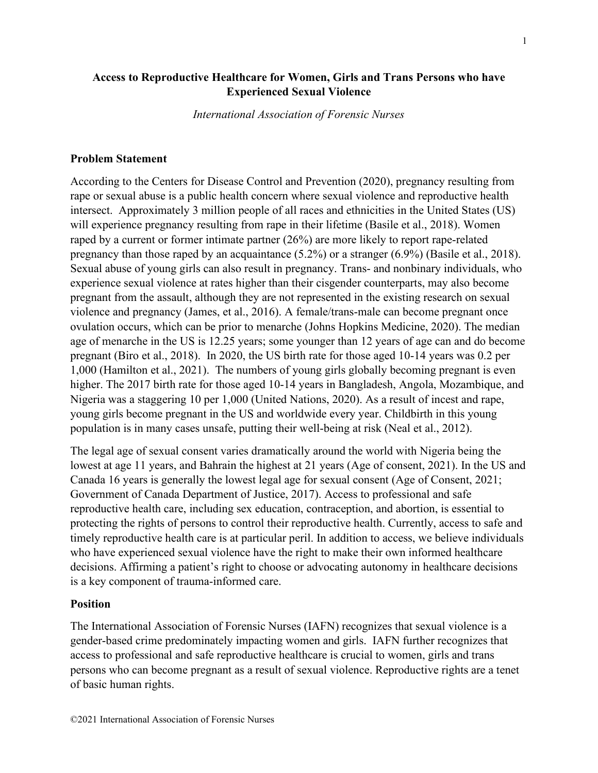# **Access to Reproductive Healthcare for Women, Girls and Trans Persons who have Experienced Sexual Violence**

*International Association of Forensic Nurses*

### **Problem Statement**

According to the Centers for Disease Control and Prevention (2020), pregnancy resulting from rape or sexual abuse is a public health concern where sexual violence and reproductive health intersect. Approximately 3 million people of all races and ethnicities in the United States (US) will experience pregnancy resulting from rape in their lifetime (Basile et al., 2018). Women raped by a current or former intimate partner (26%) are more likely to report rape-related pregnancy than those raped by an acquaintance (5.2%) or a stranger (6.9%) (Basile et al., 2018). Sexual abuse of young girls can also result in pregnancy. Trans- and nonbinary individuals, who experience sexual violence at rates higher than their cisgender counterparts, may also become pregnant from the assault, although they are not represented in the existing research on sexual violence and pregnancy (James, et al., 2016). A female/trans-male can become pregnant once ovulation occurs, which can be prior to menarche (Johns Hopkins Medicine, 2020). The median age of menarche in the US is 12.25 years; some younger than 12 years of age can and do become pregnant (Biro et al., 2018). In 2020, the US birth rate for those aged 10-14 years was 0.2 per 1,000 (Hamilton et al., 2021). The numbers of young girls globally becoming pregnant is even higher. The 2017 birth rate for those aged 10-14 years in Bangladesh, Angola, Mozambique, and Nigeria was a staggering 10 per 1,000 (United Nations, 2020). As a result of incest and rape, young girls become pregnant in the US and worldwide every year. Childbirth in this young population is in many cases unsafe, putting their well-being at risk (Neal et al., 2012).

The legal age of sexual consent varies dramatically around the world with Nigeria being the lowest at age 11 years, and Bahrain the highest at 21 years (Age of consent, 2021). In the US and Canada 16 years is generally the lowest legal age for sexual consent (Age of Consent, 2021; Government of Canada Department of Justice, 2017). Access to professional and safe reproductive health care, including sex education, contraception, and abortion, is essential to protecting the rights of persons to control their reproductive health. Currently, access to safe and timely reproductive health care is at particular peril. In addition to access, we believe individuals who have experienced sexual violence have the right to make their own informed healthcare decisions. Affirming a patient's right to choose or advocating autonomy in healthcare decisions is a key component of trauma-informed care.

#### **Position**

The International Association of Forensic Nurses (IAFN) recognizes that sexual violence is a gender-based crime predominately impacting women and girls. IAFN further recognizes that access to professional and safe reproductive healthcare is crucial to women, girls and trans persons who can become pregnant as a result of sexual violence. Reproductive rights are a tenet of basic human rights.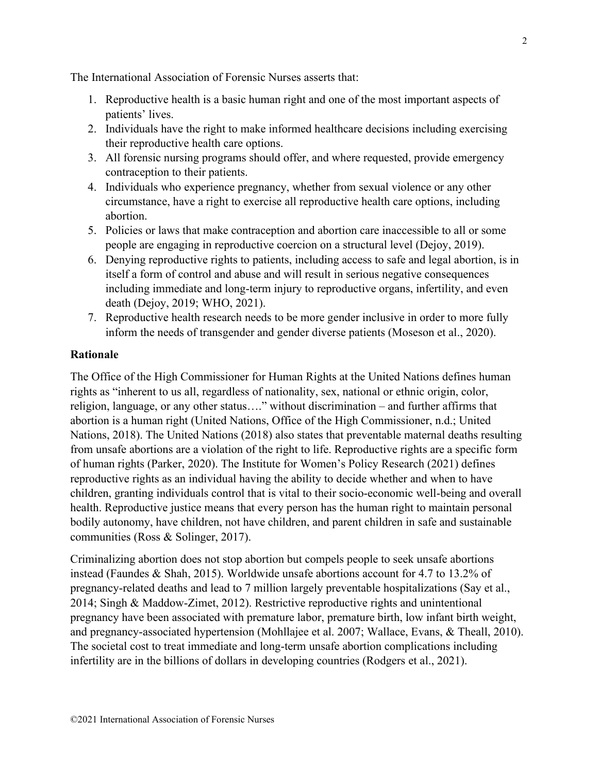The International Association of Forensic Nurses asserts that:

- 1. Reproductive health is a basic human right and one of the most important aspects of patients' lives.
- 2. Individuals have the right to make informed healthcare decisions including exercising their reproductive health care options.
- 3. All forensic nursing programs should offer, and where requested, provide emergency contraception to their patients.
- 4. Individuals who experience pregnancy, whether from sexual violence or any other circumstance, have a right to exercise all reproductive health care options, including abortion.
- 5. Policies or laws that make contraception and abortion care inaccessible to all or some people are engaging in reproductive coercion on a structural level (Dejoy, 2019).
- 6. Denying reproductive rights to patients, including access to safe and legal abortion, is in itself a form of control and abuse and will result in serious negative consequences including immediate and long-term injury to reproductive organs, infertility, and even death (Dejoy, 2019; WHO, 2021).
- 7. Reproductive health research needs to be more gender inclusive in order to more fully inform the needs of transgender and gender diverse patients (Moseson et al., 2020).

## **Rationale**

The Office of the High Commissioner for Human Rights at the United Nations defines human rights as "inherent to us all, regardless of nationality, sex, national or ethnic origin, color, religion, language, or any other status…." without discrimination – and further affirms that abortion is a human right (United Nations, Office of the High Commissioner, n.d.; United Nations, 2018). The United Nations (2018) also states that preventable maternal deaths resulting from unsafe abortions are a violation of the right to life. Reproductive rights are a specific form of human rights (Parker, 2020). The Institute for Women's Policy Research (2021) defines reproductive rights as an individual having the ability to decide whether and when to have children, granting individuals control that is vital to their socio-economic well-being and overall health. Reproductive justice means that every person has the human right to maintain personal bodily autonomy, have children, not have children, and parent children in safe and sustainable communities (Ross & Solinger, 2017).

Criminalizing abortion does not stop abortion but compels people to seek unsafe abortions instead (Faundes & Shah, 2015). Worldwide unsafe abortions account for 4.7 to 13.2% of pregnancy-related deaths and lead to 7 million largely preventable hospitalizations (Say et al., 2014; Singh & Maddow-Zimet, 2012). Restrictive reproductive rights and unintentional pregnancy have been associated with premature labor, premature birth, low infant birth weight, and pregnancy-associated hypertension (Mohllajee et al. 2007; Wallace, Evans, & Theall, 2010). The societal cost to treat immediate and long-term unsafe abortion complications including infertility are in the billions of dollars in developing countries (Rodgers et al., 2021).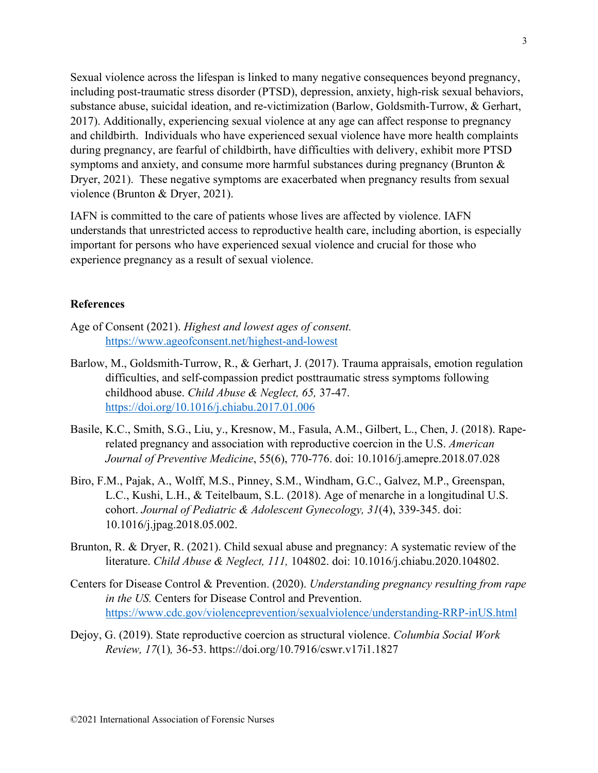Sexual violence across the lifespan is linked to many negative consequences beyond pregnancy, including post-traumatic stress disorder (PTSD), depression, anxiety, high-risk sexual behaviors, substance abuse, suicidal ideation, and re-victimization (Barlow, Goldsmith-Turrow, & Gerhart, 2017). Additionally, experiencing sexual violence at any age can affect response to pregnancy and childbirth. Individuals who have experienced sexual violence have more health complaints during pregnancy, are fearful of childbirth, have difficulties with delivery, exhibit more PTSD symptoms and anxiety, and consume more harmful substances during pregnancy (Brunton  $\&$ Dryer, 2021). These negative symptoms are exacerbated when pregnancy results from sexual violence (Brunton & Dryer, 2021).

IAFN is committed to the care of patients whose lives are affected by violence. IAFN understands that unrestricted access to reproductive health care, including abortion, is especially important for persons who have experienced sexual violence and crucial for those who experience pregnancy as a result of sexual violence.

#### **References**

- Age of Consent (2021). *Highest and lowest ages of consent.* <https://www.ageofconsent.net/highest-and-lowest>
- Barlow, M., Goldsmith-Turrow, R., & Gerhart, J. (2017). Trauma appraisals, emotion regulation difficulties, and self-compassion predict posttraumatic stress symptoms following childhood abuse. *Child Abuse & Neglect, 65,* 37-47. <https://doi.org/10.1016/j.chiabu.2017.01.006>
- Basile, K.C., Smith, S.G., Liu, y., Kresnow, M., Fasula, A.M., Gilbert, L., Chen, J. (2018). Raperelated pregnancy and association with reproductive coercion in the U.S. *American Journal of Preventive Medicine*, 55(6), 770-776. doi: 10.1016/j.amepre.2018.07.028
- Biro, F.M., Pajak, A., Wolff, M.S., Pinney, S.M., Windham, G.C., Galvez, M.P., Greenspan, L.C., Kushi, L.H., & Teitelbaum, S.L. (2018). Age of menarche in a longitudinal U.S. cohort. *Journal of Pediatric & Adolescent Gynecology, 31*(4), 339-345. doi: 10.1016/j.jpag.2018.05.002.
- Brunton, R. & Dryer, R. (2021). Child sexual abuse and pregnancy: A systematic review of the literature. *Child Abuse & Neglect, 111,* 104802. doi: 10.1016/j.chiabu.2020.104802.
- Centers for Disease Control & Prevention. (2020). *Understanding pregnancy resulting from rape in the US.* Centers for Disease Control and Prevention. <https://www.cdc.gov/violenceprevention/sexualviolence/understanding-RRP-inUS.html>
- Dejoy, G. (2019). State reproductive coercion as structural violence. *Columbia Social Work Review, 17*(1)*,* 36-53. https://doi.org/10.7916/cswr.v17i1.1827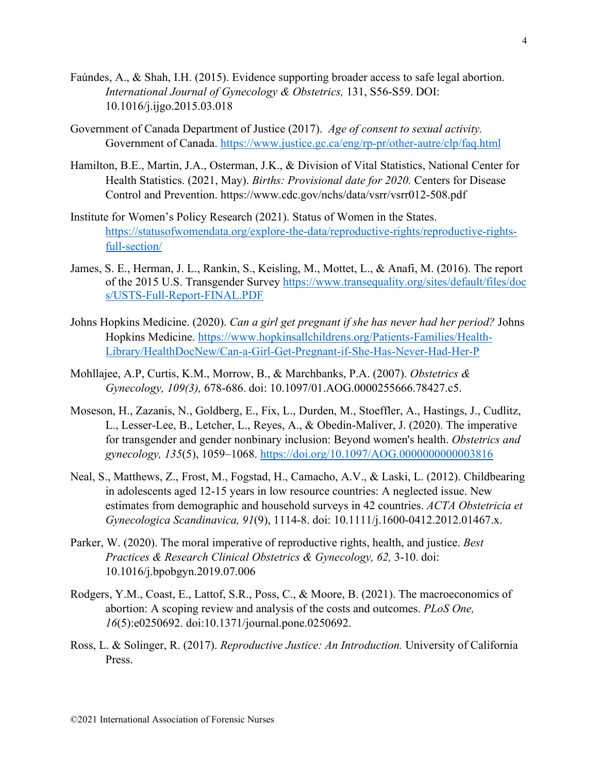- Faúndes, A., & Shah, I.H. (2015). Evidence supporting broader access to safe legal abortion. *International Journal of Gynecology & Obstetrics,* 131, S56-S59. DOI: 10.1016/j.ijgo.2015.03.018
- Government of Canada Department of Justice (2017). *Age of consent to sexual activity.* Government of Canada. <https://www.justice.gc.ca/eng/rp-pr/other-autre/clp/faq.html>
- Hamilton, B.E., Martin, J.A., Osterman, J.K., & Division of Vital Statistics, National Center for Health Statistics. (2021, May). *Births: Provisional date for 2020.* Centers for Disease Control and Prevention. https://www.cdc.gov/nchs/data/vsrr/vsrr012-508.pdf
- Institute for Women's Policy Research (2021). Status of Women in the States. [https://statusofwomendata.org/explore-the-data/reproductive-rights/reproductive-rights](https://statusofwomendata.org/explore-the-data/reproductive-rights/reproductive-rights-full-section/)[full-section/](https://statusofwomendata.org/explore-the-data/reproductive-rights/reproductive-rights-full-section/)
- James, S. E., Herman, J. L., Rankin, S., Keisling, M., Mottet, L., & Anafi, M. (2016). The report of the 2015 U.S. Transgender Survey [https://www.transequality.org/sites/default/files/doc](https://www.transequality.org/sites/default/files/doc%20s/USTS-Full-Report-FINAL.PDF)  [s/USTS-Full-Report-FINAL.PDF](https://www.transequality.org/sites/default/files/doc%20s/USTS-Full-Report-FINAL.PDF)
- Johns Hopkins Medicine. (2020). *Can a girl get pregnant if she has never had her period?* Johns Hopkins Medicine. [https://www.hopkinsallchildrens.org/Patients-Families/Health-](https://www.hopkinsallchildrens.org/Patients-Families/Health-Library/HealthDocNew/Can-a-Girl-Get-Pregnant-if-She-Has-Never-Had-Her-P)[Library/HealthDocNew/Can-a-Girl-Get-Pregnant-if-She-Has-Never-Had-Her-P](https://www.hopkinsallchildrens.org/Patients-Families/Health-Library/HealthDocNew/Can-a-Girl-Get-Pregnant-if-She-Has-Never-Had-Her-P)
- Mohllajee, A.P, Curtis, K.M., Morrow, B., & Marchbanks, P.A. (2007). *Obstetrics & Gynecology, 109(3),* 678-686. doi: 10.1097/01.AOG.0000255666.78427.c5.
- Moseson, H., Zazanis, N., Goldberg, E., Fix, L., Durden, M., Stoeffler, A., Hastings, J., Cudlitz, L., Lesser-Lee, B., Letcher, L., Reyes, A., & Obedin-Maliver, J. (2020). The imperative for transgender and gender nonbinary inclusion: Beyond women's health. *Obstetrics and gynecology, 135*(5), 1059–1068.<https://doi.org/10.1097/AOG.0000000000003816>
- Neal, S., Matthews, Z., Frost, M., Fogstad, H., Camacho, A.V., & Laski, L. (2012). Childbearing in adolescents aged 12-15 years in low resource countries: A neglected issue. New estimates from demographic and household surveys in 42 countries. *ACTA Obstetricia et Gynecologica Scandinavica, 91*(9), 1114-8. doi: 10.1111/j.1600-0412.2012.01467.x.
- Parker, W. (2020). The moral imperative of reproductive rights, health, and justice. *Best Practices & Research Clinical Obstetrics & Gynecology, 62,* 3-10. doi: 10.1016/j.bpobgyn.2019.07.006
- Rodgers, Y.M., Coast, E., Lattof, S.R., Poss, C., & Moore, B. (2021). The macroeconomics of abortion: A scoping review and analysis of the costs and outcomes. *PLoS One, 16*(5):e0250692. doi:10.1371/journal.pone.0250692.
- Ross, L. & Solinger, R. (2017). *Reproductive Justice: An Introduction.* University of California Press.